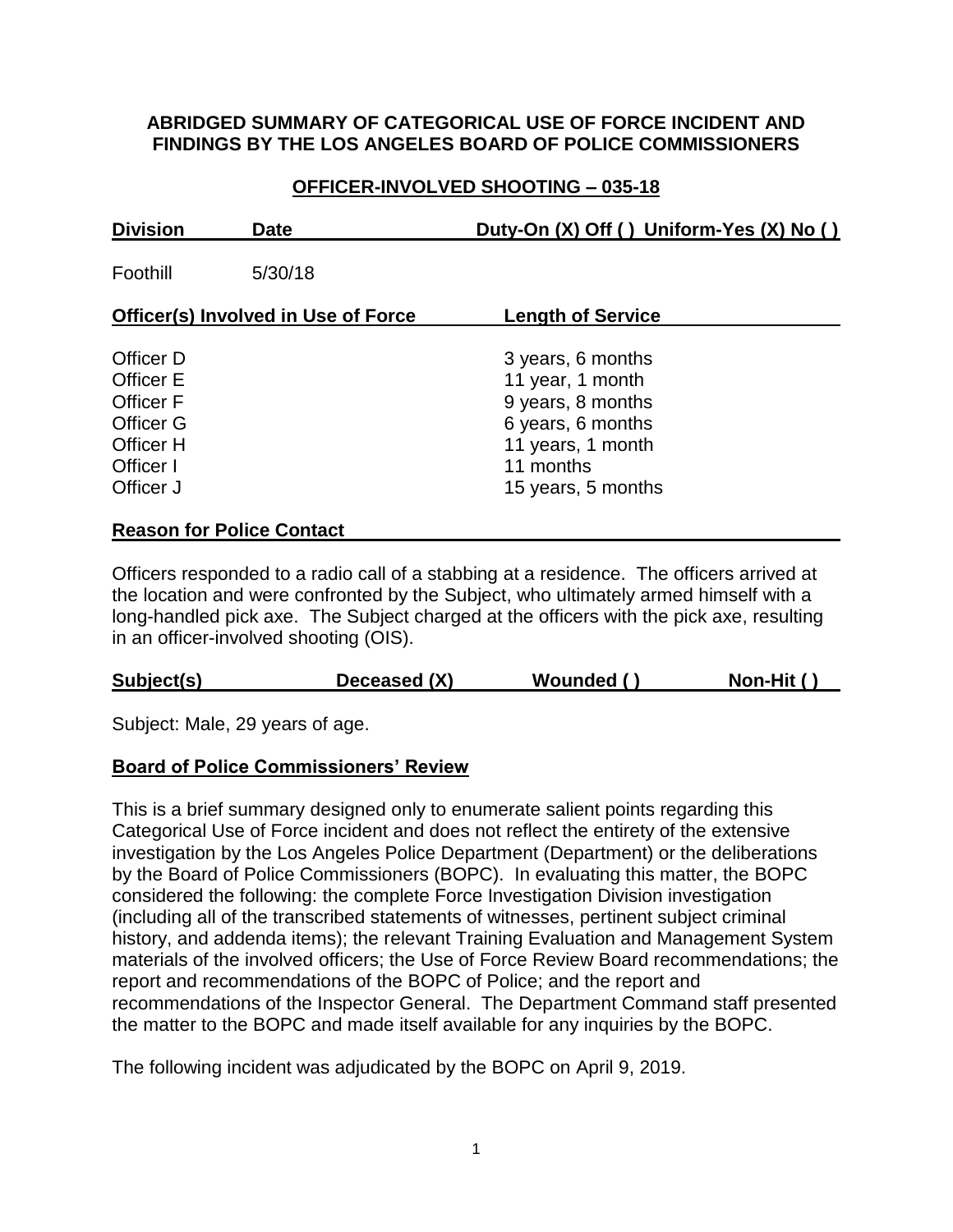#### **ABRIDGED SUMMARY OF CATEGORICAL USE OF FORCE INCIDENT AND FINDINGS BY THE LOS ANGELES BOARD OF POLICE COMMISSIONERS**

## **OFFICER-INVOLVED SHOOTING – 035-18**

| <b>Division</b>                                                                                 | <b>Date</b>                      | Duty-On (X) Off () Uniform-Yes (X) No ()                                                                          |
|-------------------------------------------------------------------------------------------------|----------------------------------|-------------------------------------------------------------------------------------------------------------------|
| Foothill                                                                                        | 5/30/18                          |                                                                                                                   |
| Officer(s) Involved in Use of Force                                                             |                                  | <b>Length of Service</b>                                                                                          |
| Officer D<br><b>Officer E</b><br><b>Officer F</b><br><b>Officer G</b><br>Officer H<br>Officer I |                                  | 3 years, 6 months<br>11 year, 1 month<br>9 years, 8 months<br>6 years, 6 months<br>11 years, 1 month<br>11 months |
| Officer J                                                                                       | <b>Reason for Police Contact</b> | 15 years, 5 months                                                                                                |

Officers responded to a radio call of a stabbing at a residence. The officers arrived at the location and were confronted by the Subject, who ultimately armed himself with a long-handled pick axe. The Subject charged at the officers with the pick axe, resulting in an officer-involved shooting (OIS).

## **Subject(s) Deceased (X) Wounded ( ) Non-Hit ( )**

Subject: Male, 29 years of age.

#### **Board of Police Commissioners' Review**

This is a brief summary designed only to enumerate salient points regarding this Categorical Use of Force incident and does not reflect the entirety of the extensive investigation by the Los Angeles Police Department (Department) or the deliberations by the Board of Police Commissioners (BOPC). In evaluating this matter, the BOPC considered the following: the complete Force Investigation Division investigation (including all of the transcribed statements of witnesses, pertinent subject criminal history, and addenda items); the relevant Training Evaluation and Management System materials of the involved officers; the Use of Force Review Board recommendations; the report and recommendations of the BOPC of Police; and the report and recommendations of the Inspector General. The Department Command staff presented the matter to the BOPC and made itself available for any inquiries by the BOPC.

The following incident was adjudicated by the BOPC on April 9, 2019.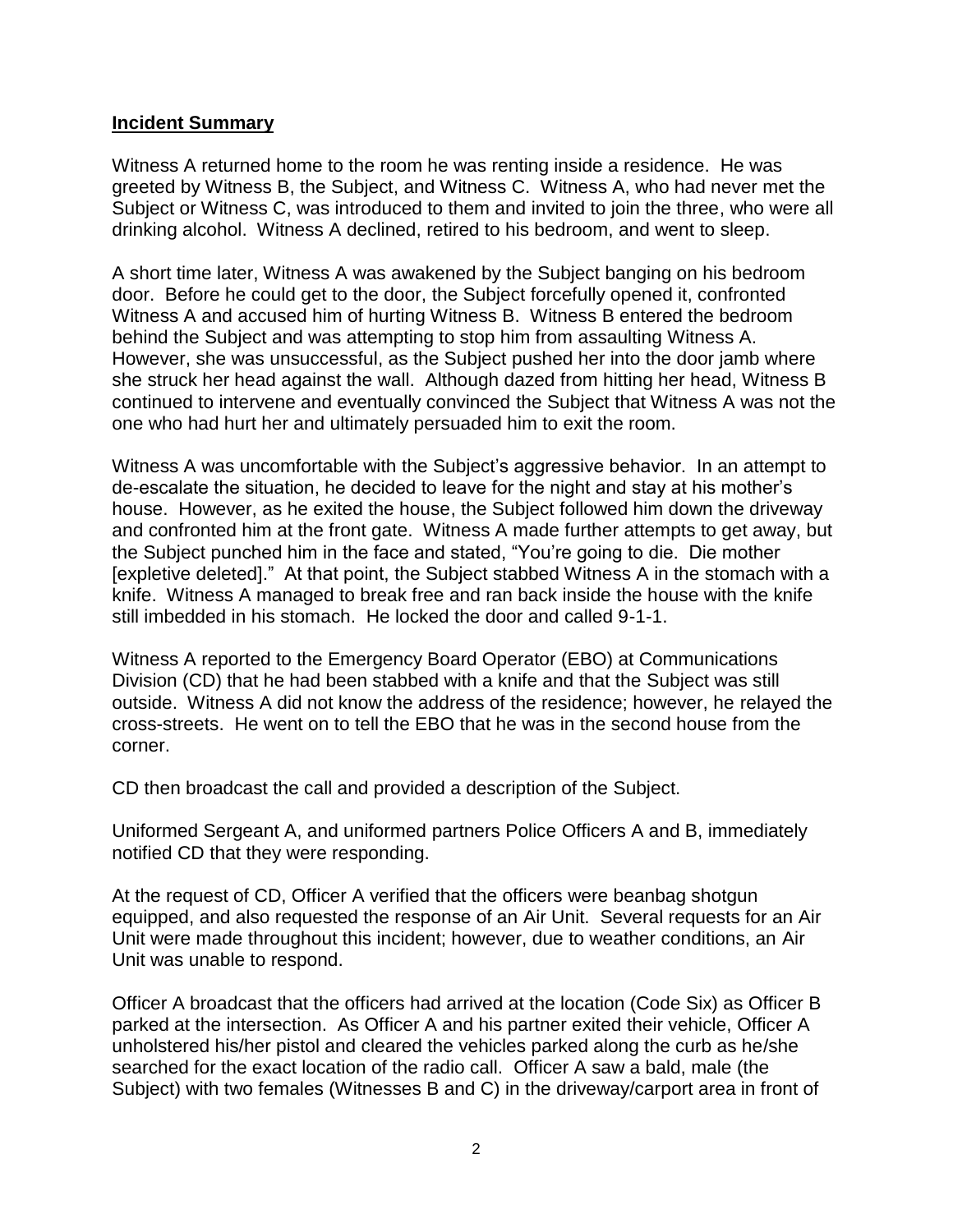#### **Incident Summary**

Witness A returned home to the room he was renting inside a residence. He was greeted by Witness B, the Subject, and Witness C. Witness A, who had never met the Subject or Witness C, was introduced to them and invited to join the three, who were all drinking alcohol. Witness A declined, retired to his bedroom, and went to sleep.

A short time later, Witness A was awakened by the Subject banging on his bedroom door. Before he could get to the door, the Subject forcefully opened it, confronted Witness A and accused him of hurting Witness B. Witness B entered the bedroom behind the Subject and was attempting to stop him from assaulting Witness A. However, she was unsuccessful, as the Subject pushed her into the door jamb where she struck her head against the wall. Although dazed from hitting her head, Witness B continued to intervene and eventually convinced the Subject that Witness A was not the one who had hurt her and ultimately persuaded him to exit the room.

Witness A was uncomfortable with the Subject's aggressive behavior. In an attempt to de-escalate the situation, he decided to leave for the night and stay at his mother's house. However, as he exited the house, the Subject followed him down the driveway and confronted him at the front gate. Witness A made further attempts to get away, but the Subject punched him in the face and stated, "You're going to die. Die mother [expletive deleted]." At that point, the Subject stabbed Witness A in the stomach with a knife. Witness A managed to break free and ran back inside the house with the knife still imbedded in his stomach. He locked the door and called 9-1-1.

Witness A reported to the Emergency Board Operator (EBO) at Communications Division (CD) that he had been stabbed with a knife and that the Subject was still outside. Witness A did not know the address of the residence; however, he relayed the cross-streets. He went on to tell the EBO that he was in the second house from the corner.

CD then broadcast the call and provided a description of the Subject.

Uniformed Sergeant A, and uniformed partners Police Officers A and B, immediately notified CD that they were responding.

At the request of CD, Officer A verified that the officers were beanbag shotgun equipped, and also requested the response of an Air Unit. Several requests for an Air Unit were made throughout this incident; however, due to weather conditions, an Air Unit was unable to respond.

Officer A broadcast that the officers had arrived at the location (Code Six) as Officer B parked at the intersection. As Officer A and his partner exited their vehicle, Officer A unholstered his/her pistol and cleared the vehicles parked along the curb as he/she searched for the exact location of the radio call. Officer A saw a bald, male (the Subject) with two females (Witnesses B and C) in the driveway/carport area in front of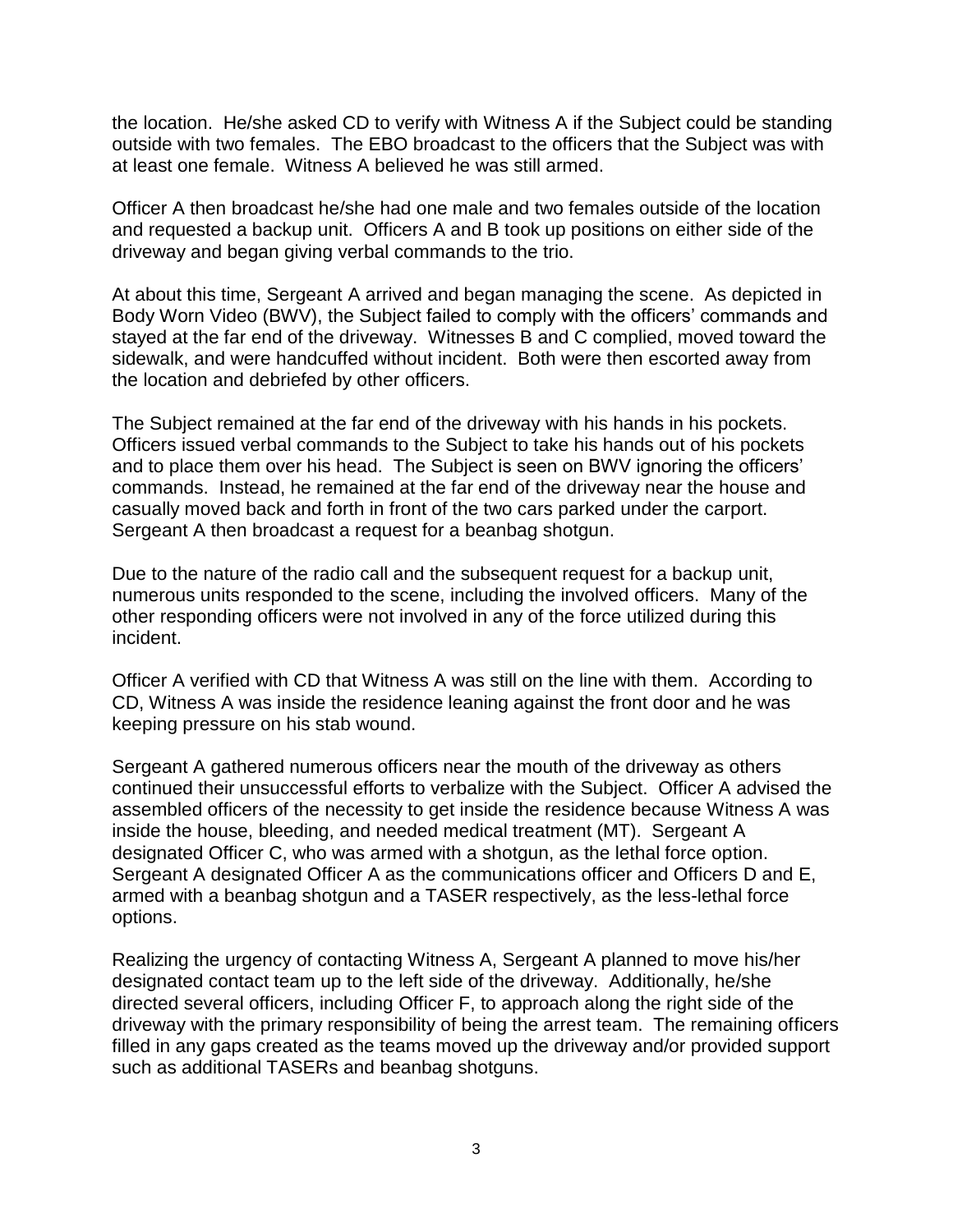the location. He/she asked CD to verify with Witness A if the Subject could be standing outside with two females. The EBO broadcast to the officers that the Subject was with at least one female. Witness A believed he was still armed.

Officer A then broadcast he/she had one male and two females outside of the location and requested a backup unit. Officers A and B took up positions on either side of the driveway and began giving verbal commands to the trio.

At about this time, Sergeant A arrived and began managing the scene. As depicted in Body Worn Video (BWV), the Subject failed to comply with the officers' commands and stayed at the far end of the driveway. Witnesses B and C complied, moved toward the sidewalk, and were handcuffed without incident. Both were then escorted away from the location and debriefed by other officers.

The Subject remained at the far end of the driveway with his hands in his pockets. Officers issued verbal commands to the Subject to take his hands out of his pockets and to place them over his head. The Subject is seen on BWV ignoring the officers' commands. Instead, he remained at the far end of the driveway near the house and casually moved back and forth in front of the two cars parked under the carport. Sergeant A then broadcast a request for a beanbag shotgun.

Due to the nature of the radio call and the subsequent request for a backup unit, numerous units responded to the scene, including the involved officers. Many of the other responding officers were not involved in any of the force utilized during this incident.

Officer A verified with CD that Witness A was still on the line with them. According to CD, Witness A was inside the residence leaning against the front door and he was keeping pressure on his stab wound.

Sergeant A gathered numerous officers near the mouth of the driveway as others continued their unsuccessful efforts to verbalize with the Subject. Officer A advised the assembled officers of the necessity to get inside the residence because Witness A was inside the house, bleeding, and needed medical treatment (MT). Sergeant A designated Officer C, who was armed with a shotgun, as the lethal force option. Sergeant A designated Officer A as the communications officer and Officers D and E. armed with a beanbag shotgun and a TASER respectively, as the less-lethal force options.

Realizing the urgency of contacting Witness A, Sergeant A planned to move his/her designated contact team up to the left side of the driveway. Additionally, he/she directed several officers, including Officer F, to approach along the right side of the driveway with the primary responsibility of being the arrest team. The remaining officers filled in any gaps created as the teams moved up the driveway and/or provided support such as additional TASERs and beanbag shotguns.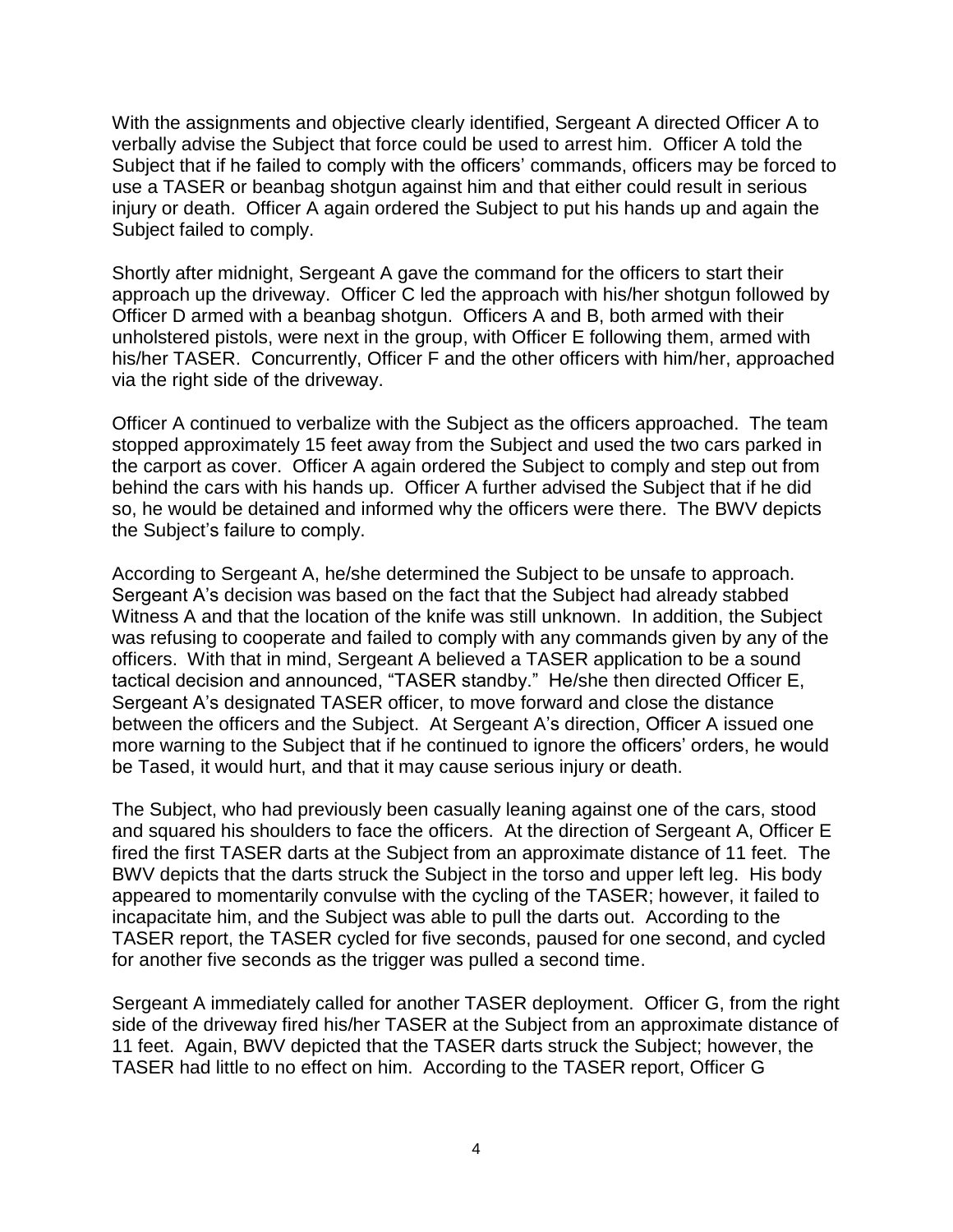With the assignments and objective clearly identified, Sergeant A directed Officer A to verbally advise the Subject that force could be used to arrest him. Officer A told the Subject that if he failed to comply with the officers' commands, officers may be forced to use a TASER or beanbag shotgun against him and that either could result in serious injury or death. Officer A again ordered the Subject to put his hands up and again the Subject failed to comply.

Shortly after midnight, Sergeant A gave the command for the officers to start their approach up the driveway. Officer C led the approach with his/her shotgun followed by Officer D armed with a beanbag shotgun. Officers A and B, both armed with their unholstered pistols, were next in the group, with Officer E following them, armed with his/her TASER. Concurrently, Officer F and the other officers with him/her, approached via the right side of the driveway.

Officer A continued to verbalize with the Subject as the officers approached. The team stopped approximately 15 feet away from the Subject and used the two cars parked in the carport as cover. Officer A again ordered the Subject to comply and step out from behind the cars with his hands up. Officer A further advised the Subject that if he did so, he would be detained and informed why the officers were there. The BWV depicts the Subject's failure to comply.

According to Sergeant A, he/she determined the Subject to be unsafe to approach. Sergeant A's decision was based on the fact that the Subject had already stabbed Witness A and that the location of the knife was still unknown. In addition, the Subject was refusing to cooperate and failed to comply with any commands given by any of the officers. With that in mind, Sergeant A believed a TASER application to be a sound tactical decision and announced, "TASER standby." He/she then directed Officer E, Sergeant A's designated TASER officer, to move forward and close the distance between the officers and the Subject. At Sergeant A's direction, Officer A issued one more warning to the Subject that if he continued to ignore the officers' orders, he would be Tased, it would hurt, and that it may cause serious injury or death.

The Subject, who had previously been casually leaning against one of the cars, stood and squared his shoulders to face the officers. At the direction of Sergeant A, Officer E fired the first TASER darts at the Subject from an approximate distance of 11 feet. The BWV depicts that the darts struck the Subject in the torso and upper left leg. His body appeared to momentarily convulse with the cycling of the TASER; however, it failed to incapacitate him, and the Subject was able to pull the darts out. According to the TASER report, the TASER cycled for five seconds, paused for one second, and cycled for another five seconds as the trigger was pulled a second time.

Sergeant A immediately called for another TASER deployment. Officer G, from the right side of the driveway fired his/her TASER at the Subject from an approximate distance of 11 feet. Again, BWV depicted that the TASER darts struck the Subject; however, the TASER had little to no effect on him. According to the TASER report, Officer G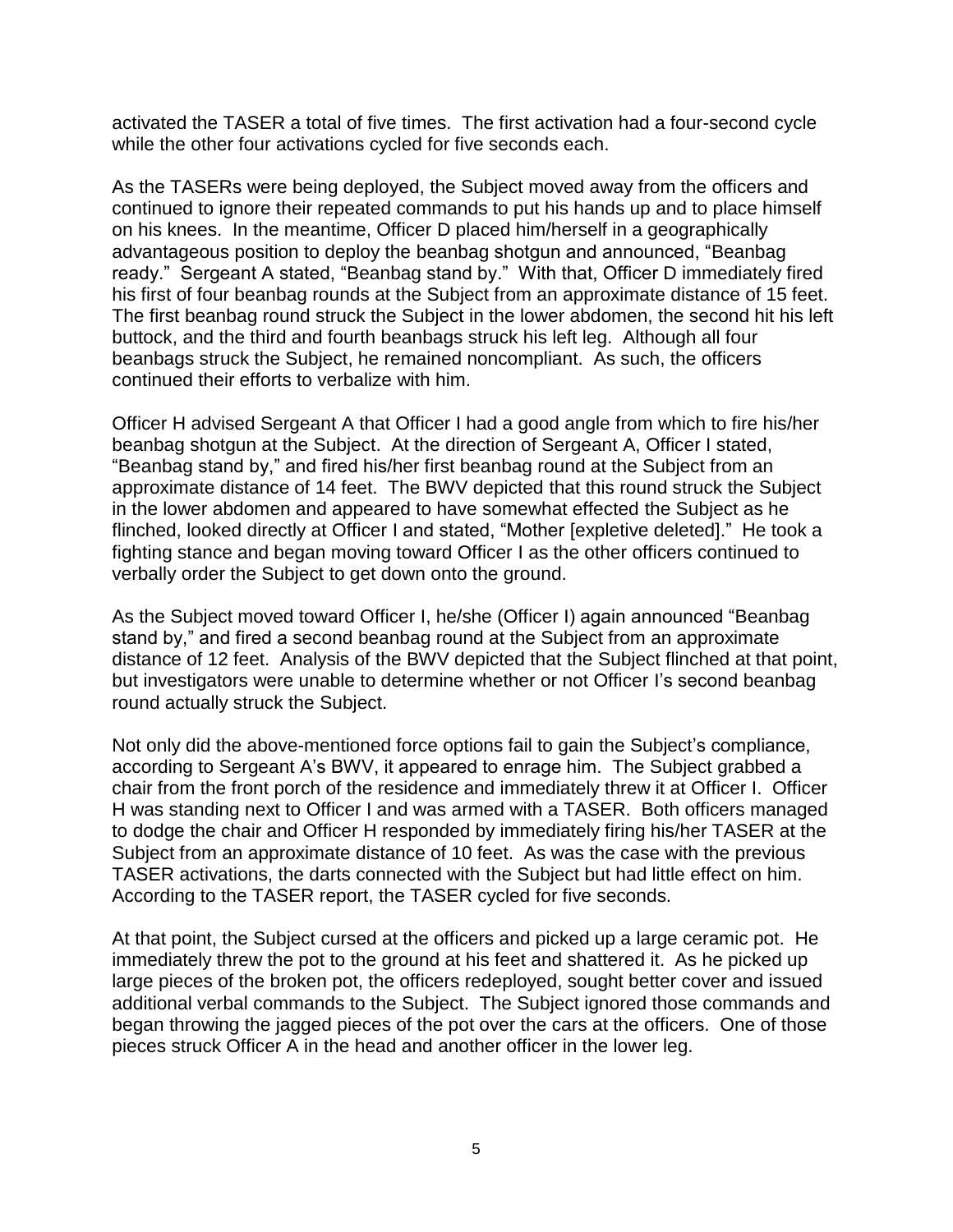activated the TASER a total of five times. The first activation had a four-second cycle while the other four activations cycled for five seconds each.

As the TASERs were being deployed, the Subject moved away from the officers and continued to ignore their repeated commands to put his hands up and to place himself on his knees. In the meantime, Officer D placed him/herself in a geographically advantageous position to deploy the beanbag shotgun and announced, "Beanbag ready." Sergeant A stated, "Beanbag stand by." With that, Officer D immediately fired his first of four beanbag rounds at the Subject from an approximate distance of 15 feet. The first beanbag round struck the Subject in the lower abdomen, the second hit his left buttock, and the third and fourth beanbags struck his left leg. Although all four beanbags struck the Subject, he remained noncompliant. As such, the officers continued their efforts to verbalize with him.

Officer H advised Sergeant A that Officer I had a good angle from which to fire his/her beanbag shotgun at the Subject. At the direction of Sergeant A, Officer I stated, "Beanbag stand by," and fired his/her first beanbag round at the Subject from an approximate distance of 14 feet. The BWV depicted that this round struck the Subject in the lower abdomen and appeared to have somewhat effected the Subject as he flinched, looked directly at Officer I and stated, "Mother [expletive deleted]." He took a fighting stance and began moving toward Officer I as the other officers continued to verbally order the Subject to get down onto the ground.

As the Subject moved toward Officer I, he/she (Officer I) again announced "Beanbag stand by," and fired a second beanbag round at the Subject from an approximate distance of 12 feet. Analysis of the BWV depicted that the Subject flinched at that point, but investigators were unable to determine whether or not Officer I's second beanbag round actually struck the Subject.

Not only did the above-mentioned force options fail to gain the Subject's compliance, according to Sergeant A's BWV, it appeared to enrage him. The Subject grabbed a chair from the front porch of the residence and immediately threw it at Officer I. Officer H was standing next to Officer I and was armed with a TASER. Both officers managed to dodge the chair and Officer H responded by immediately firing his/her TASER at the Subject from an approximate distance of 10 feet. As was the case with the previous TASER activations, the darts connected with the Subject but had little effect on him. According to the TASER report, the TASER cycled for five seconds.

At that point, the Subject cursed at the officers and picked up a large ceramic pot. He immediately threw the pot to the ground at his feet and shattered it. As he picked up large pieces of the broken pot, the officers redeployed, sought better cover and issued additional verbal commands to the Subject. The Subject ignored those commands and began throwing the jagged pieces of the pot over the cars at the officers. One of those pieces struck Officer A in the head and another officer in the lower leg.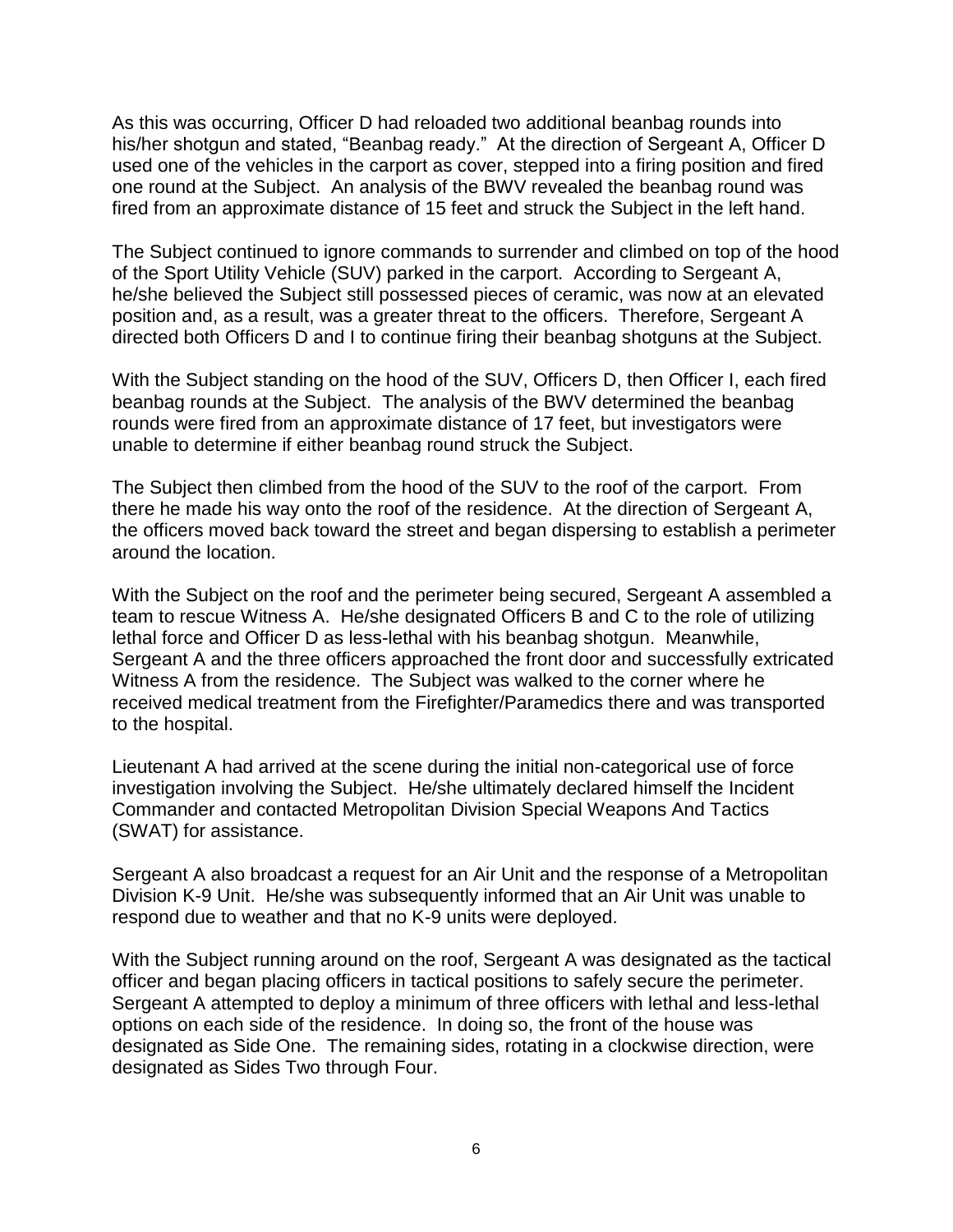As this was occurring, Officer D had reloaded two additional beanbag rounds into his/her shotgun and stated, "Beanbag ready." At the direction of Sergeant A, Officer D used one of the vehicles in the carport as cover, stepped into a firing position and fired one round at the Subject. An analysis of the BWV revealed the beanbag round was fired from an approximate distance of 15 feet and struck the Subject in the left hand.

The Subject continued to ignore commands to surrender and climbed on top of the hood of the Sport Utility Vehicle (SUV) parked in the carport. According to Sergeant A, he/she believed the Subject still possessed pieces of ceramic, was now at an elevated position and, as a result, was a greater threat to the officers. Therefore, Sergeant A directed both Officers D and I to continue firing their beanbag shotguns at the Subject.

With the Subject standing on the hood of the SUV, Officers D, then Officer I, each fired beanbag rounds at the Subject. The analysis of the BWV determined the beanbag rounds were fired from an approximate distance of 17 feet, but investigators were unable to determine if either beanbag round struck the Subject.

The Subject then climbed from the hood of the SUV to the roof of the carport. From there he made his way onto the roof of the residence. At the direction of Sergeant A, the officers moved back toward the street and began dispersing to establish a perimeter around the location.

With the Subject on the roof and the perimeter being secured, Sergeant A assembled a team to rescue Witness A. He/she designated Officers B and C to the role of utilizing lethal force and Officer D as less-lethal with his beanbag shotgun. Meanwhile, Sergeant A and the three officers approached the front door and successfully extricated Witness A from the residence. The Subject was walked to the corner where he received medical treatment from the Firefighter/Paramedics there and was transported to the hospital.

Lieutenant A had arrived at the scene during the initial non-categorical use of force investigation involving the Subject. He/she ultimately declared himself the Incident Commander and contacted Metropolitan Division Special Weapons And Tactics (SWAT) for assistance.

Sergeant A also broadcast a request for an Air Unit and the response of a Metropolitan Division K-9 Unit. He/she was subsequently informed that an Air Unit was unable to respond due to weather and that no K-9 units were deployed.

With the Subject running around on the roof, Sergeant A was designated as the tactical officer and began placing officers in tactical positions to safely secure the perimeter. Sergeant A attempted to deploy a minimum of three officers with lethal and less-lethal options on each side of the residence. In doing so, the front of the house was designated as Side One. The remaining sides, rotating in a clockwise direction, were designated as Sides Two through Four.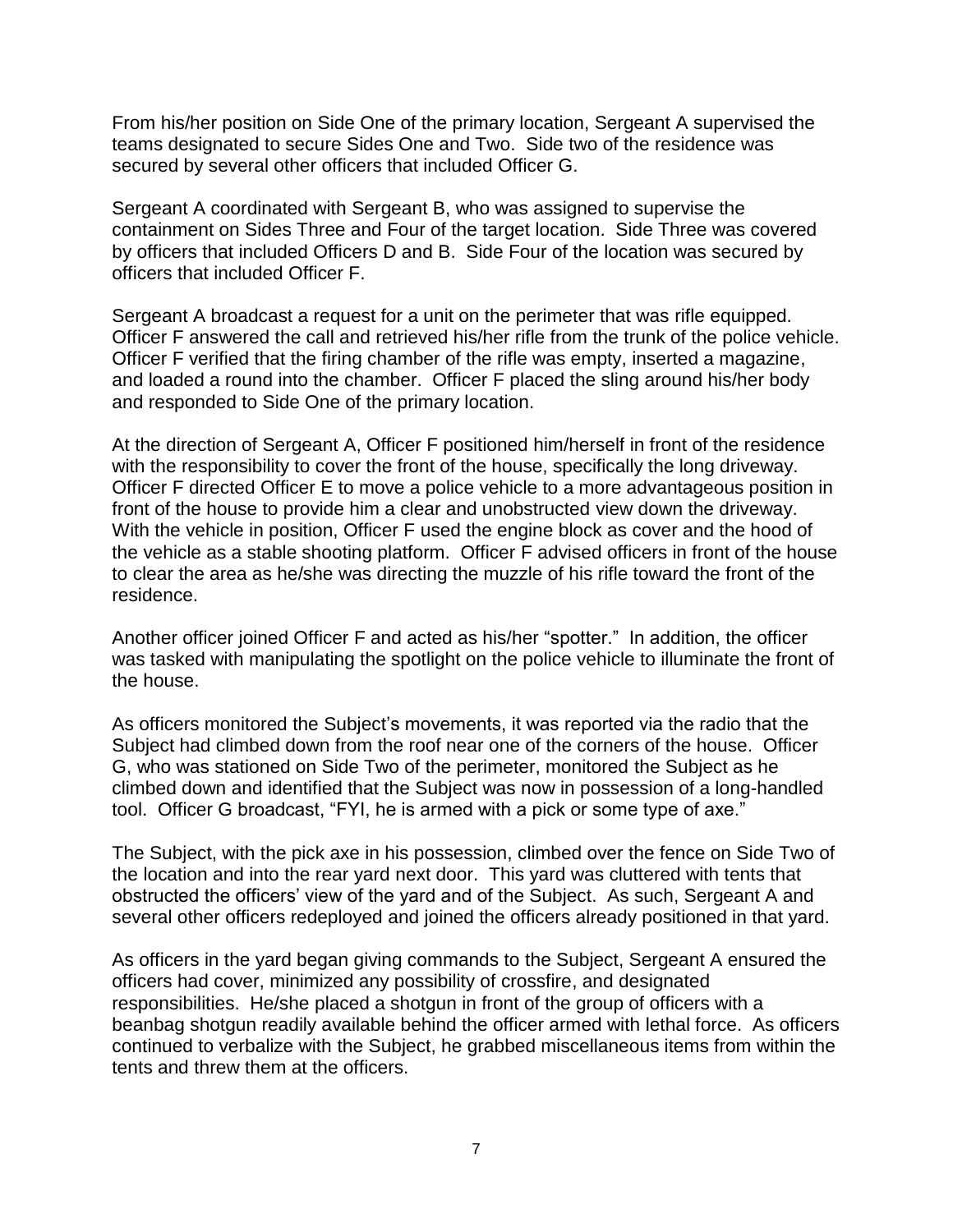From his/her position on Side One of the primary location, Sergeant A supervised the teams designated to secure Sides One and Two. Side two of the residence was secured by several other officers that included Officer G.

Sergeant A coordinated with Sergeant B, who was assigned to supervise the containment on Sides Three and Four of the target location. Side Three was covered by officers that included Officers D and B. Side Four of the location was secured by officers that included Officer F.

Sergeant A broadcast a request for a unit on the perimeter that was rifle equipped. Officer F answered the call and retrieved his/her rifle from the trunk of the police vehicle. Officer F verified that the firing chamber of the rifle was empty, inserted a magazine, and loaded a round into the chamber. Officer F placed the sling around his/her body and responded to Side One of the primary location.

At the direction of Sergeant A, Officer F positioned him/herself in front of the residence with the responsibility to cover the front of the house, specifically the long driveway. Officer F directed Officer E to move a police vehicle to a more advantageous position in front of the house to provide him a clear and unobstructed view down the driveway. With the vehicle in position, Officer F used the engine block as cover and the hood of the vehicle as a stable shooting platform. Officer F advised officers in front of the house to clear the area as he/she was directing the muzzle of his rifle toward the front of the residence.

Another officer joined Officer F and acted as his/her "spotter." In addition, the officer was tasked with manipulating the spotlight on the police vehicle to illuminate the front of the house.

As officers monitored the Subject's movements, it was reported via the radio that the Subject had climbed down from the roof near one of the corners of the house. Officer G, who was stationed on Side Two of the perimeter, monitored the Subject as he climbed down and identified that the Subject was now in possession of a long-handled tool. Officer G broadcast, "FYI, he is armed with a pick or some type of axe."

The Subject, with the pick axe in his possession, climbed over the fence on Side Two of the location and into the rear yard next door. This yard was cluttered with tents that obstructed the officers' view of the yard and of the Subject. As such, Sergeant A and several other officers redeployed and joined the officers already positioned in that yard.

As officers in the yard began giving commands to the Subject, Sergeant A ensured the officers had cover, minimized any possibility of crossfire, and designated responsibilities. He/she placed a shotgun in front of the group of officers with a beanbag shotgun readily available behind the officer armed with lethal force. As officers continued to verbalize with the Subject, he grabbed miscellaneous items from within the tents and threw them at the officers.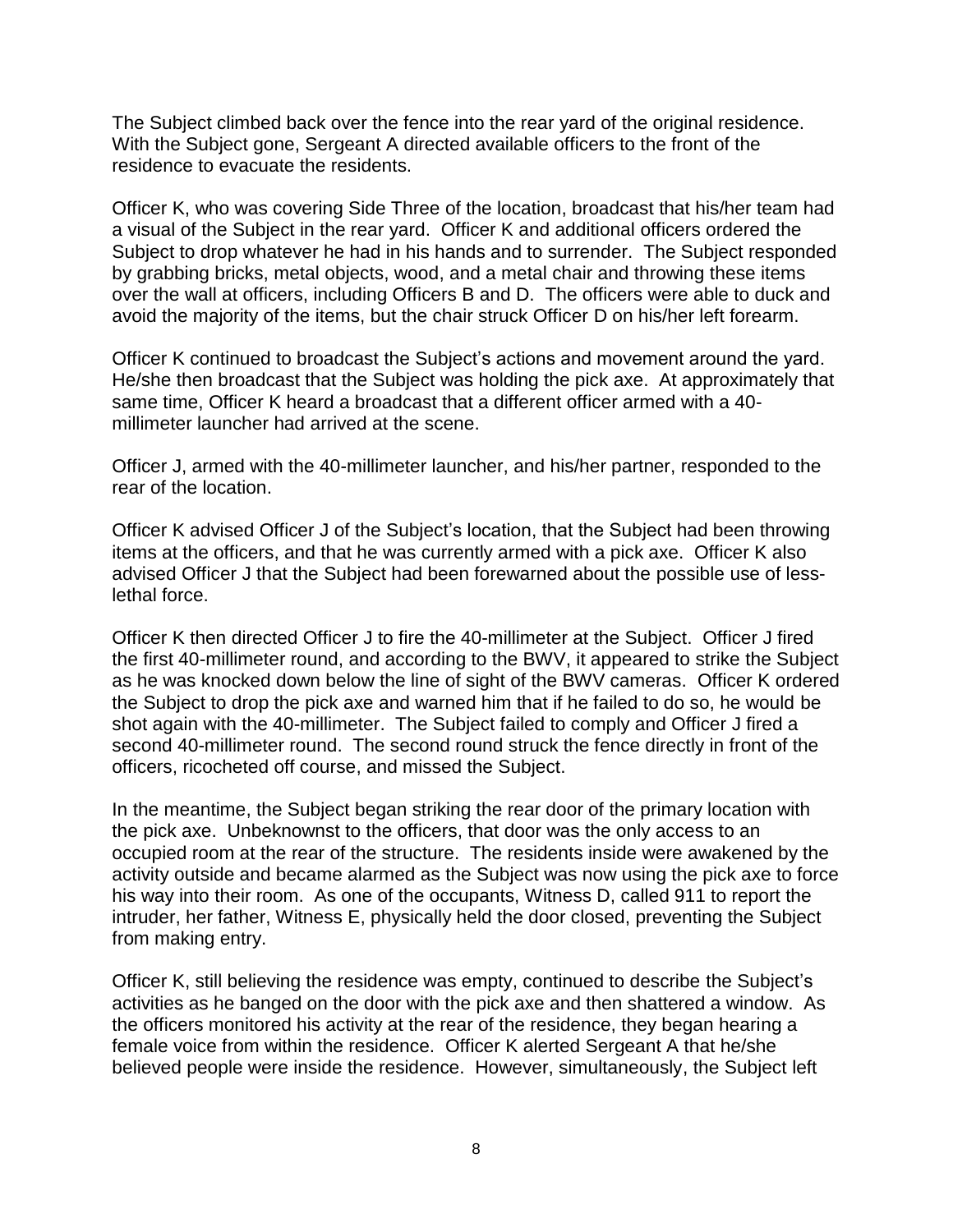The Subject climbed back over the fence into the rear yard of the original residence. With the Subject gone, Sergeant A directed available officers to the front of the residence to evacuate the residents.

Officer K, who was covering Side Three of the location, broadcast that his/her team had a visual of the Subject in the rear yard. Officer K and additional officers ordered the Subject to drop whatever he had in his hands and to surrender. The Subject responded by grabbing bricks, metal objects, wood, and a metal chair and throwing these items over the wall at officers, including Officers B and D. The officers were able to duck and avoid the majority of the items, but the chair struck Officer D on his/her left forearm.

Officer K continued to broadcast the Subject's actions and movement around the yard. He/she then broadcast that the Subject was holding the pick axe. At approximately that same time, Officer K heard a broadcast that a different officer armed with a 40 millimeter launcher had arrived at the scene.

Officer J, armed with the 40-millimeter launcher, and his/her partner, responded to the rear of the location.

Officer K advised Officer J of the Subject's location, that the Subject had been throwing items at the officers, and that he was currently armed with a pick axe. Officer K also advised Officer J that the Subject had been forewarned about the possible use of lesslethal force.

Officer K then directed Officer J to fire the 40-millimeter at the Subject. Officer J fired the first 40-millimeter round, and according to the BWV, it appeared to strike the Subject as he was knocked down below the line of sight of the BWV cameras. Officer K ordered the Subject to drop the pick axe and warned him that if he failed to do so, he would be shot again with the 40-millimeter. The Subject failed to comply and Officer J fired a second 40-millimeter round. The second round struck the fence directly in front of the officers, ricocheted off course, and missed the Subject.

In the meantime, the Subject began striking the rear door of the primary location with the pick axe. Unbeknownst to the officers, that door was the only access to an occupied room at the rear of the structure. The residents inside were awakened by the activity outside and became alarmed as the Subject was now using the pick axe to force his way into their room. As one of the occupants, Witness D, called 911 to report the intruder, her father, Witness E, physically held the door closed, preventing the Subject from making entry.

Officer K, still believing the residence was empty, continued to describe the Subject's activities as he banged on the door with the pick axe and then shattered a window. As the officers monitored his activity at the rear of the residence, they began hearing a female voice from within the residence. Officer K alerted Sergeant A that he/she believed people were inside the residence. However, simultaneously, the Subject left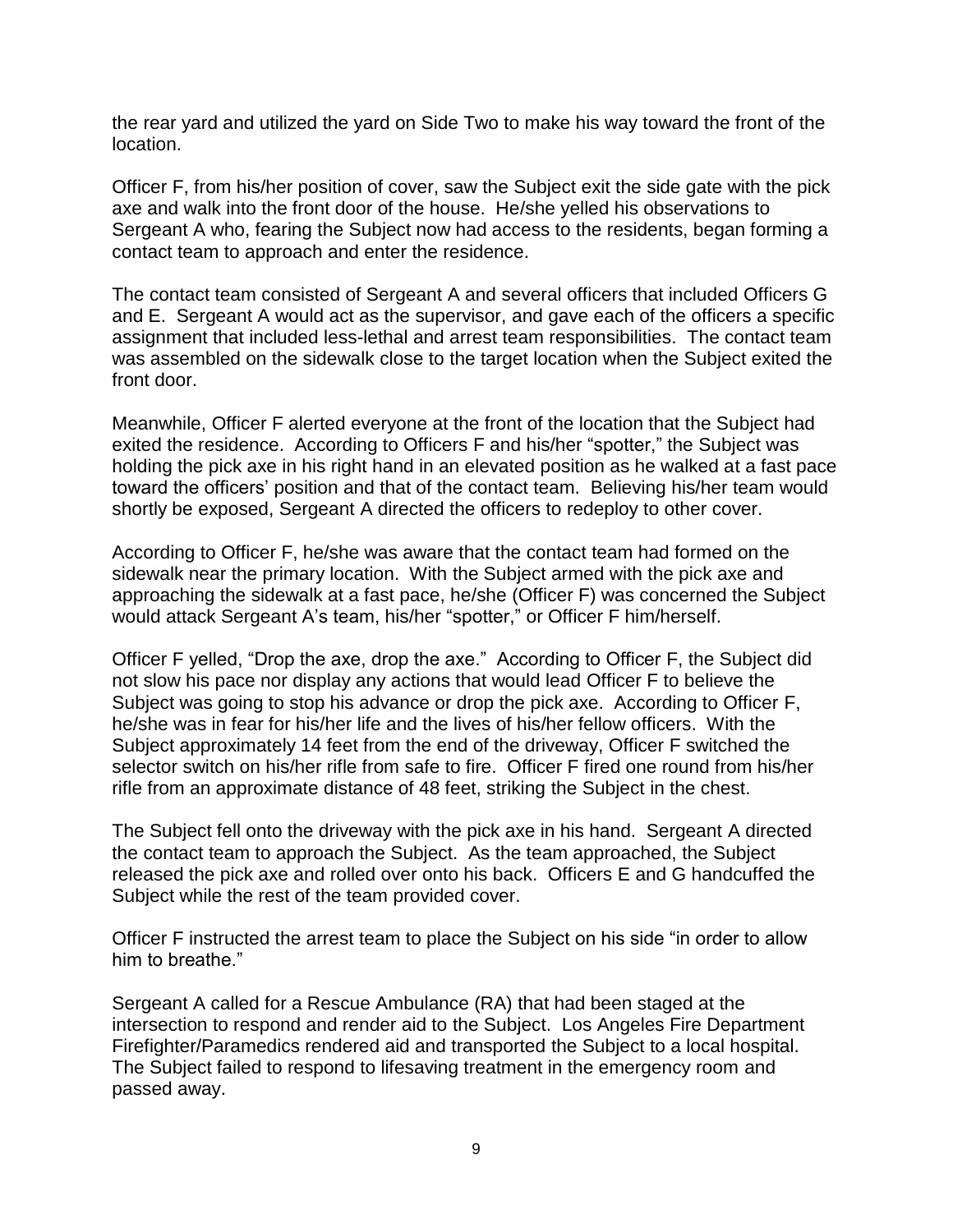the rear yard and utilized the yard on Side Two to make his way toward the front of the location.

Officer F, from his/her position of cover, saw the Subject exit the side gate with the pick axe and walk into the front door of the house. He/she yelled his observations to Sergeant A who, fearing the Subject now had access to the residents, began forming a contact team to approach and enter the residence.

The contact team consisted of Sergeant A and several officers that included Officers G and E. Sergeant A would act as the supervisor, and gave each of the officers a specific assignment that included less-lethal and arrest team responsibilities. The contact team was assembled on the sidewalk close to the target location when the Subject exited the front door.

Meanwhile, Officer F alerted everyone at the front of the location that the Subject had exited the residence. According to Officers F and his/her "spotter," the Subject was holding the pick axe in his right hand in an elevated position as he walked at a fast pace toward the officers' position and that of the contact team. Believing his/her team would shortly be exposed, Sergeant A directed the officers to redeploy to other cover.

According to Officer F, he/she was aware that the contact team had formed on the sidewalk near the primary location. With the Subject armed with the pick axe and approaching the sidewalk at a fast pace, he/she (Officer F) was concerned the Subject would attack Sergeant A's team, his/her "spotter," or Officer F him/herself.

Officer F yelled, "Drop the axe, drop the axe." According to Officer F, the Subject did not slow his pace nor display any actions that would lead Officer F to believe the Subject was going to stop his advance or drop the pick axe. According to Officer F, he/she was in fear for his/her life and the lives of his/her fellow officers. With the Subject approximately 14 feet from the end of the driveway, Officer F switched the selector switch on his/her rifle from safe to fire. Officer F fired one round from his/her rifle from an approximate distance of 48 feet, striking the Subject in the chest.

The Subject fell onto the driveway with the pick axe in his hand. Sergeant A directed the contact team to approach the Subject. As the team approached, the Subject released the pick axe and rolled over onto his back. Officers E and G handcuffed the Subject while the rest of the team provided cover.

Officer F instructed the arrest team to place the Subject on his side "in order to allow him to breathe."

Sergeant A called for a Rescue Ambulance (RA) that had been staged at the intersection to respond and render aid to the Subject. Los Angeles Fire Department Firefighter/Paramedics rendered aid and transported the Subject to a local hospital. The Subject failed to respond to lifesaving treatment in the emergency room and passed away.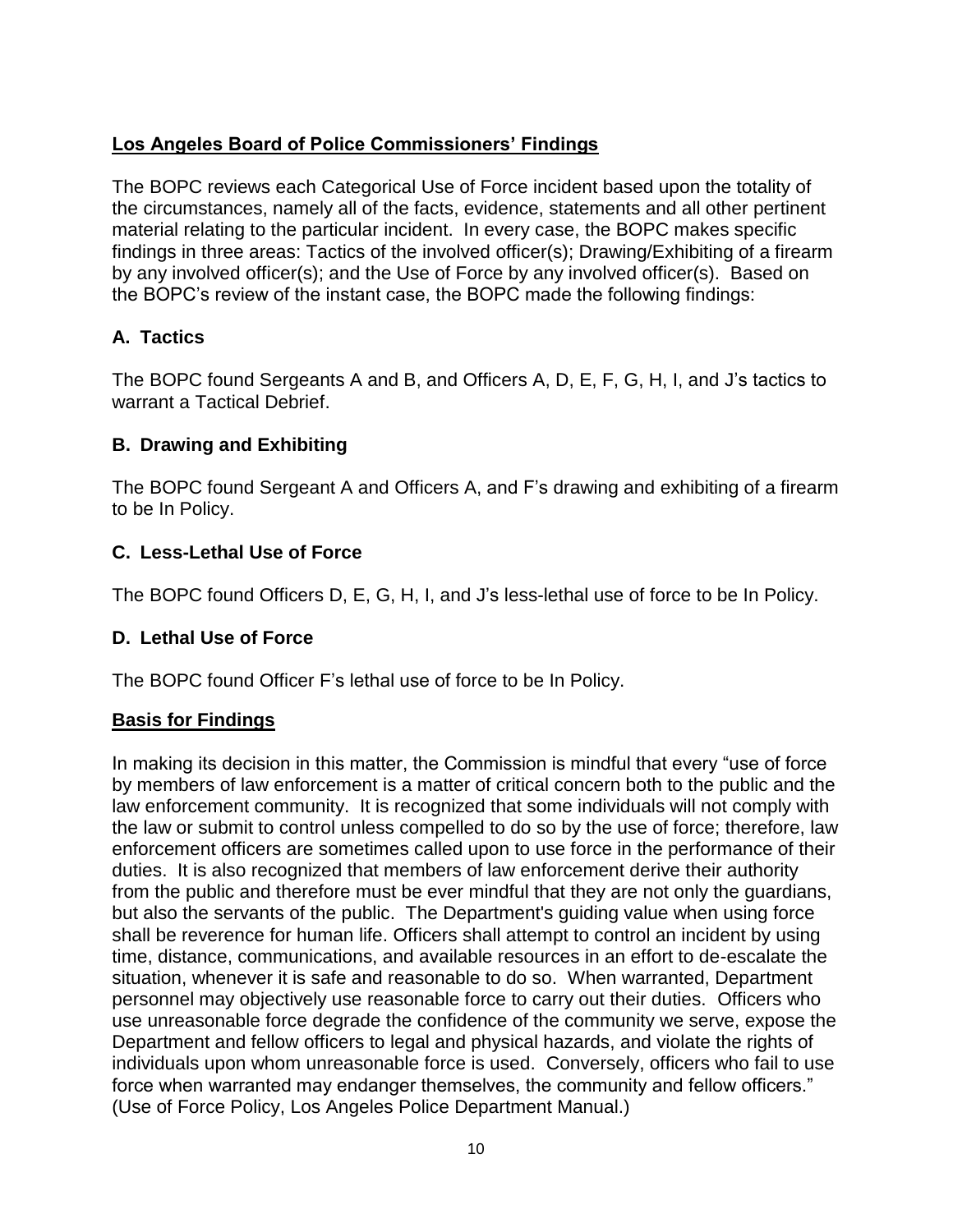# **Los Angeles Board of Police Commissioners' Findings**

The BOPC reviews each Categorical Use of Force incident based upon the totality of the circumstances, namely all of the facts, evidence, statements and all other pertinent material relating to the particular incident. In every case, the BOPC makes specific findings in three areas: Tactics of the involved officer(s); Drawing/Exhibiting of a firearm by any involved officer(s); and the Use of Force by any involved officer(s). Based on the BOPC's review of the instant case, the BOPC made the following findings:

## **A. Tactics**

The BOPC found Sergeants A and B, and Officers A, D, E, F, G, H, I, and J's tactics to warrant a Tactical Debrief.

## **B. Drawing and Exhibiting**

The BOPC found Sergeant A and Officers A, and F's drawing and exhibiting of a firearm to be In Policy.

## **C. Less-Lethal Use of Force**

The BOPC found Officers D, E, G, H, I, and J's less-lethal use of force to be In Policy.

## **D. Lethal Use of Force**

The BOPC found Officer F's lethal use of force to be In Policy.

## **Basis for Findings**

In making its decision in this matter, the Commission is mindful that every "use of force by members of law enforcement is a matter of critical concern both to the public and the law enforcement community. It is recognized that some individuals will not comply with the law or submit to control unless compelled to do so by the use of force; therefore, law enforcement officers are sometimes called upon to use force in the performance of their duties. It is also recognized that members of law enforcement derive their authority from the public and therefore must be ever mindful that they are not only the guardians, but also the servants of the public. The Department's guiding value when using force shall be reverence for human life. Officers shall attempt to control an incident by using time, distance, communications, and available resources in an effort to de-escalate the situation, whenever it is safe and reasonable to do so. When warranted, Department personnel may objectively use reasonable force to carry out their duties. Officers who use unreasonable force degrade the confidence of the community we serve, expose the Department and fellow officers to legal and physical hazards, and violate the rights of individuals upon whom unreasonable force is used. Conversely, officers who fail to use force when warranted may endanger themselves, the community and fellow officers." (Use of Force Policy, Los Angeles Police Department Manual.)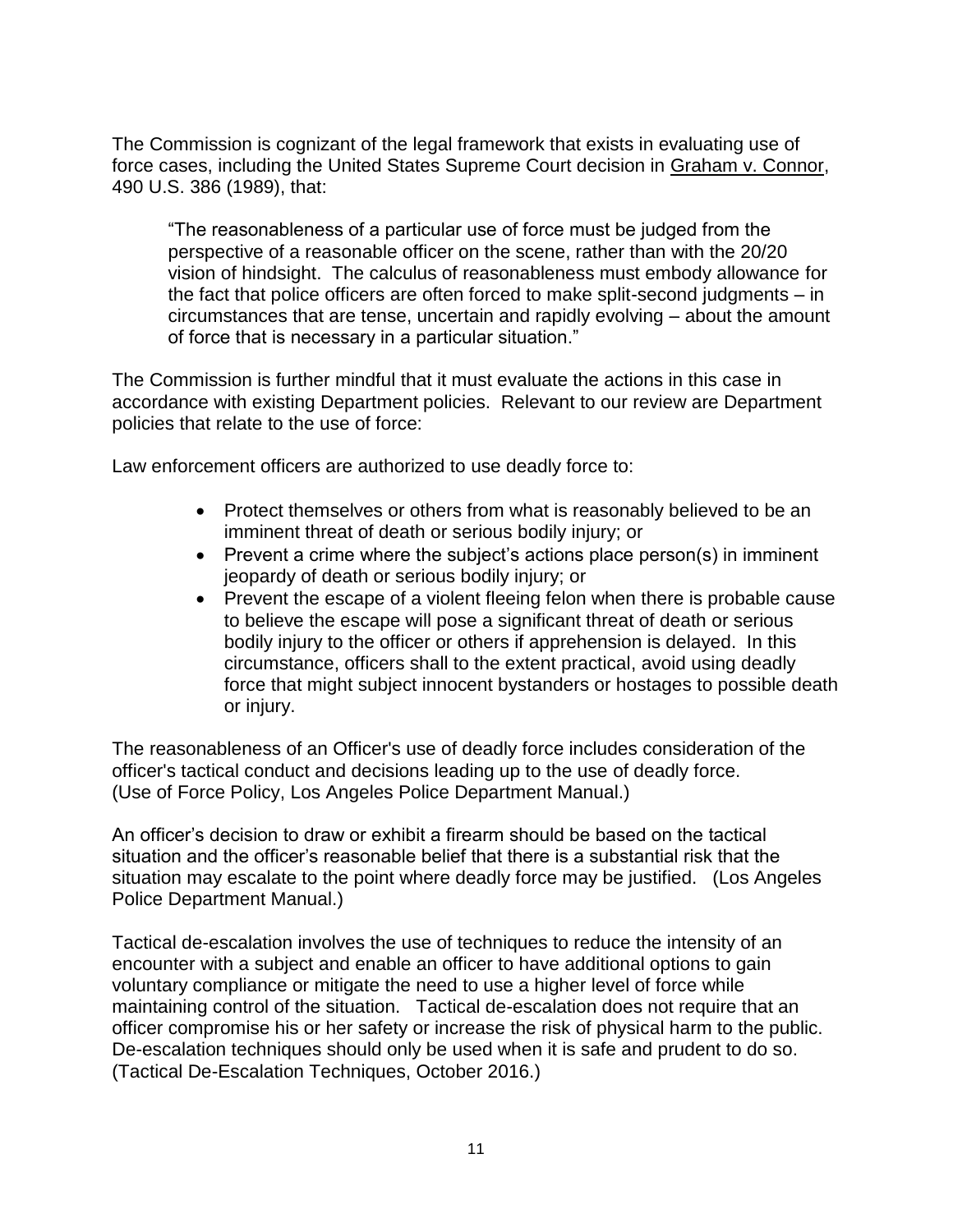The Commission is cognizant of the legal framework that exists in evaluating use of force cases, including the United States Supreme Court decision in Graham v. Connor, 490 U.S. 386 (1989), that:

"The reasonableness of a particular use of force must be judged from the perspective of a reasonable officer on the scene, rather than with the 20/20 vision of hindsight. The calculus of reasonableness must embody allowance for the fact that police officers are often forced to make split-second judgments – in circumstances that are tense, uncertain and rapidly evolving – about the amount of force that is necessary in a particular situation."

The Commission is further mindful that it must evaluate the actions in this case in accordance with existing Department policies. Relevant to our review are Department policies that relate to the use of force:

Law enforcement officers are authorized to use deadly force to:

- Protect themselves or others from what is reasonably believed to be an imminent threat of death or serious bodily injury; or
- Prevent a crime where the subject's actions place person(s) in imminent jeopardy of death or serious bodily injury; or
- Prevent the escape of a violent fleeing felon when there is probable cause to believe the escape will pose a significant threat of death or serious bodily injury to the officer or others if apprehension is delayed. In this circumstance, officers shall to the extent practical, avoid using deadly force that might subject innocent bystanders or hostages to possible death or injury.

The reasonableness of an Officer's use of deadly force includes consideration of the officer's tactical conduct and decisions leading up to the use of deadly force. (Use of Force Policy, Los Angeles Police Department Manual.)

An officer's decision to draw or exhibit a firearm should be based on the tactical situation and the officer's reasonable belief that there is a substantial risk that the situation may escalate to the point where deadly force may be justified. (Los Angeles Police Department Manual.)

Tactical de-escalation involves the use of techniques to reduce the intensity of an encounter with a subject and enable an officer to have additional options to gain voluntary compliance or mitigate the need to use a higher level of force while maintaining control of the situation. Tactical de-escalation does not require that an officer compromise his or her safety or increase the risk of physical harm to the public. De-escalation techniques should only be used when it is safe and prudent to do so. (Tactical De-Escalation Techniques, October 2016.)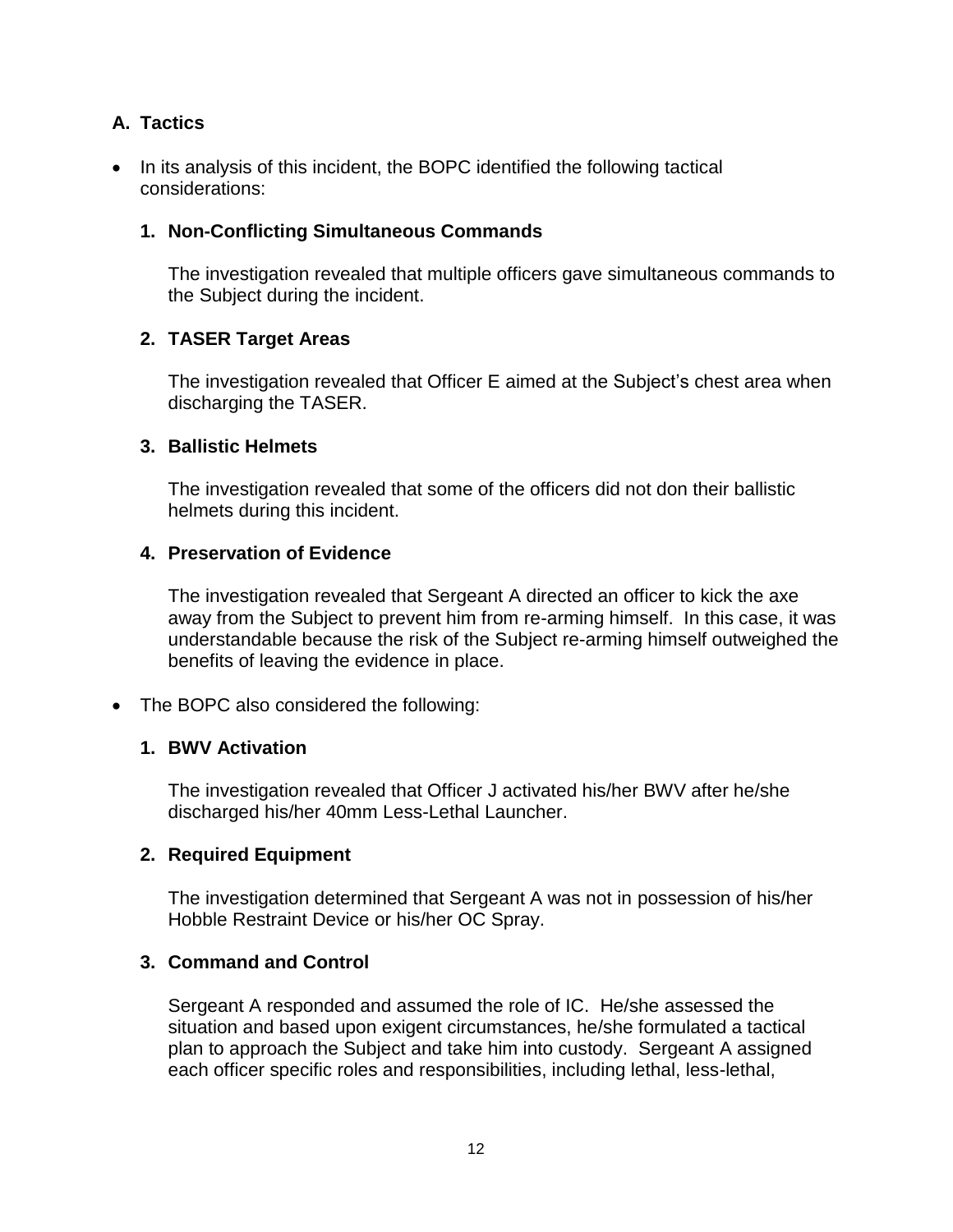## **A. Tactics**

• In its analysis of this incident, the BOPC identified the following tactical considerations:

### **1. Non-Conflicting Simultaneous Commands**

The investigation revealed that multiple officers gave simultaneous commands to the Subject during the incident.

#### **2. TASER Target Areas**

The investigation revealed that Officer E aimed at the Subject's chest area when discharging the TASER.

#### **3. Ballistic Helmets**

The investigation revealed that some of the officers did not don their ballistic helmets during this incident.

#### **4. Preservation of Evidence**

The investigation revealed that Sergeant A directed an officer to kick the axe away from the Subject to prevent him from re-arming himself. In this case, it was understandable because the risk of the Subject re-arming himself outweighed the benefits of leaving the evidence in place.

• The BOPC also considered the following:

## **1. BWV Activation**

The investigation revealed that Officer J activated his/her BWV after he/she discharged his/her 40mm Less-Lethal Launcher.

#### **2. Required Equipment**

The investigation determined that Sergeant A was not in possession of his/her Hobble Restraint Device or his/her OC Spray.

#### **3. Command and Control**

Sergeant A responded and assumed the role of IC. He/she assessed the situation and based upon exigent circumstances, he/she formulated a tactical plan to approach the Subject and take him into custody. Sergeant A assigned each officer specific roles and responsibilities, including lethal, less-lethal,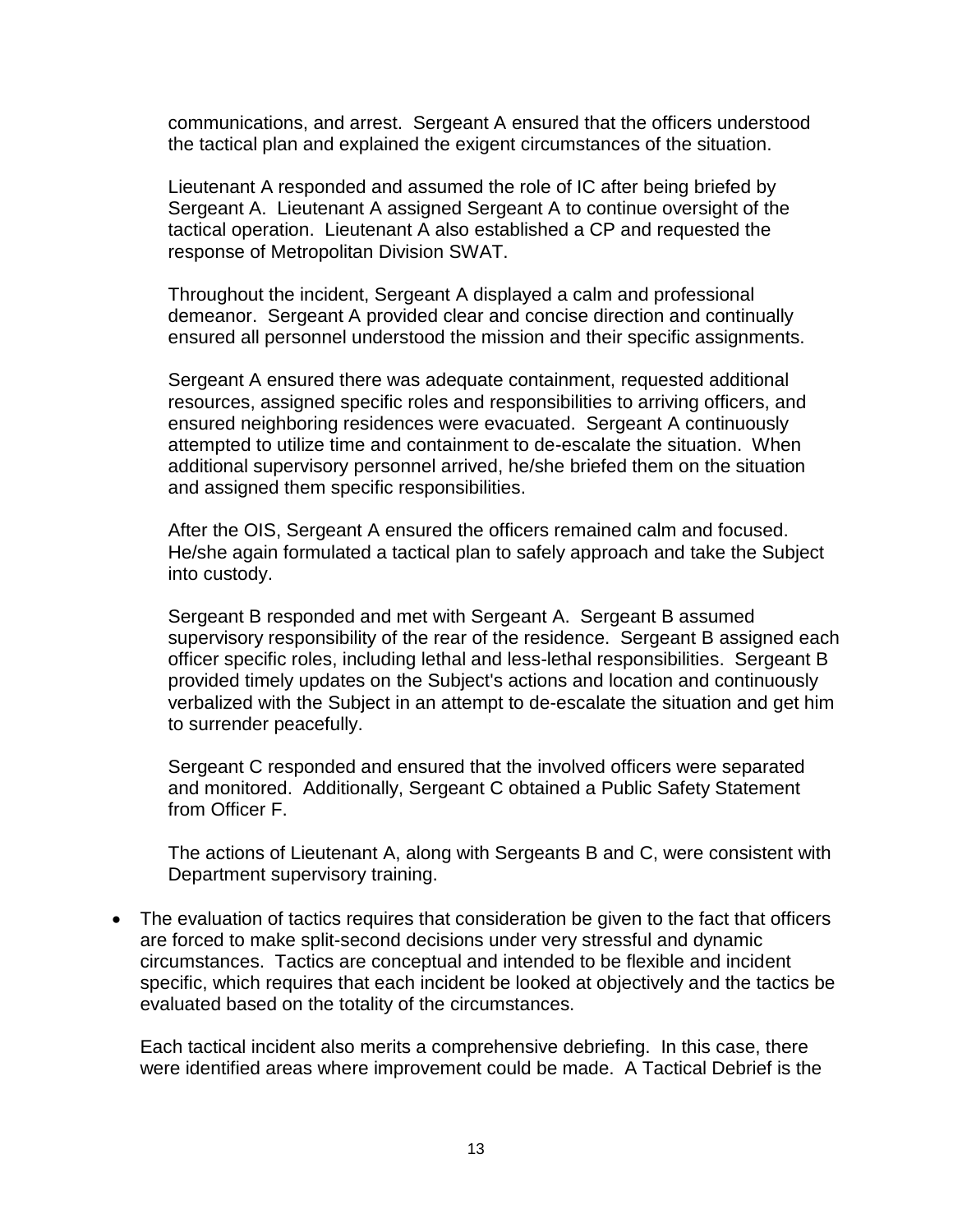communications, and arrest. Sergeant A ensured that the officers understood the tactical plan and explained the exigent circumstances of the situation.

Lieutenant A responded and assumed the role of IC after being briefed by Sergeant A. Lieutenant A assigned Sergeant A to continue oversight of the tactical operation. Lieutenant A also established a CP and requested the response of Metropolitan Division SWAT.

Throughout the incident, Sergeant A displayed a calm and professional demeanor. Sergeant A provided clear and concise direction and continually ensured all personnel understood the mission and their specific assignments.

Sergeant A ensured there was adequate containment, requested additional resources, assigned specific roles and responsibilities to arriving officers, and ensured neighboring residences were evacuated. Sergeant A continuously attempted to utilize time and containment to de-escalate the situation. When additional supervisory personnel arrived, he/she briefed them on the situation and assigned them specific responsibilities.

After the OIS, Sergeant A ensured the officers remained calm and focused. He/she again formulated a tactical plan to safely approach and take the Subject into custody.

Sergeant B responded and met with Sergeant A. Sergeant B assumed supervisory responsibility of the rear of the residence. Sergeant B assigned each officer specific roles, including lethal and less-lethal responsibilities. Sergeant B provided timely updates on the Subject's actions and location and continuously verbalized with the Subject in an attempt to de-escalate the situation and get him to surrender peacefully.

Sergeant C responded and ensured that the involved officers were separated and monitored. Additionally, Sergeant C obtained a Public Safety Statement from Officer F.

The actions of Lieutenant A, along with Sergeants B and C, were consistent with Department supervisory training.

• The evaluation of tactics requires that consideration be given to the fact that officers are forced to make split-second decisions under very stressful and dynamic circumstances. Tactics are conceptual and intended to be flexible and incident specific, which requires that each incident be looked at objectively and the tactics be evaluated based on the totality of the circumstances.

Each tactical incident also merits a comprehensive debriefing. In this case, there were identified areas where improvement could be made. A Tactical Debrief is the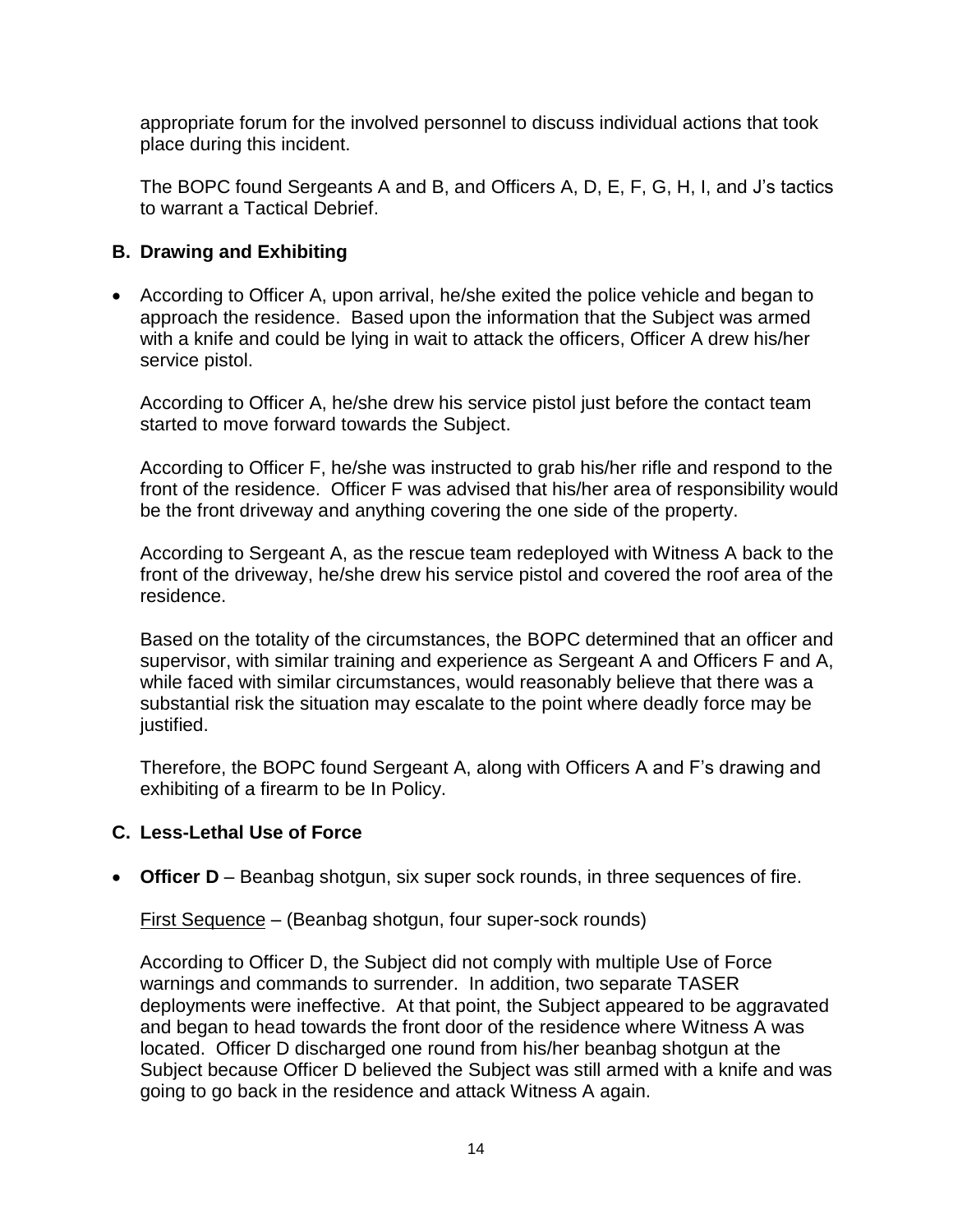appropriate forum for the involved personnel to discuss individual actions that took place during this incident.

The BOPC found Sergeants A and B, and Officers A, D, E, F, G, H, I, and J's tactics to warrant a Tactical Debrief.

### **B. Drawing and Exhibiting**

• According to Officer A, upon arrival, he/she exited the police vehicle and began to approach the residence. Based upon the information that the Subject was armed with a knife and could be lying in wait to attack the officers, Officer A drew his/her service pistol.

According to Officer A, he/she drew his service pistol just before the contact team started to move forward towards the Subject.

According to Officer F, he/she was instructed to grab his/her rifle and respond to the front of the residence. Officer F was advised that his/her area of responsibility would be the front driveway and anything covering the one side of the property.

According to Sergeant A, as the rescue team redeployed with Witness A back to the front of the driveway, he/she drew his service pistol and covered the roof area of the residence.

Based on the totality of the circumstances, the BOPC determined that an officer and supervisor, with similar training and experience as Sergeant A and Officers F and A, while faced with similar circumstances, would reasonably believe that there was a substantial risk the situation may escalate to the point where deadly force may be justified.

Therefore, the BOPC found Sergeant A, along with Officers A and F's drawing and exhibiting of a firearm to be In Policy.

## **C. Less-Lethal Use of Force**

• **Officer D** – Beanbag shotgun, six super sock rounds, in three sequences of fire.

First Sequence – (Beanbag shotgun, four super-sock rounds)

According to Officer D, the Subject did not comply with multiple Use of Force warnings and commands to surrender. In addition, two separate TASER deployments were ineffective. At that point, the Subject appeared to be aggravated and began to head towards the front door of the residence where Witness A was located. Officer D discharged one round from his/her beanbag shotgun at the Subject because Officer D believed the Subject was still armed with a knife and was going to go back in the residence and attack Witness A again.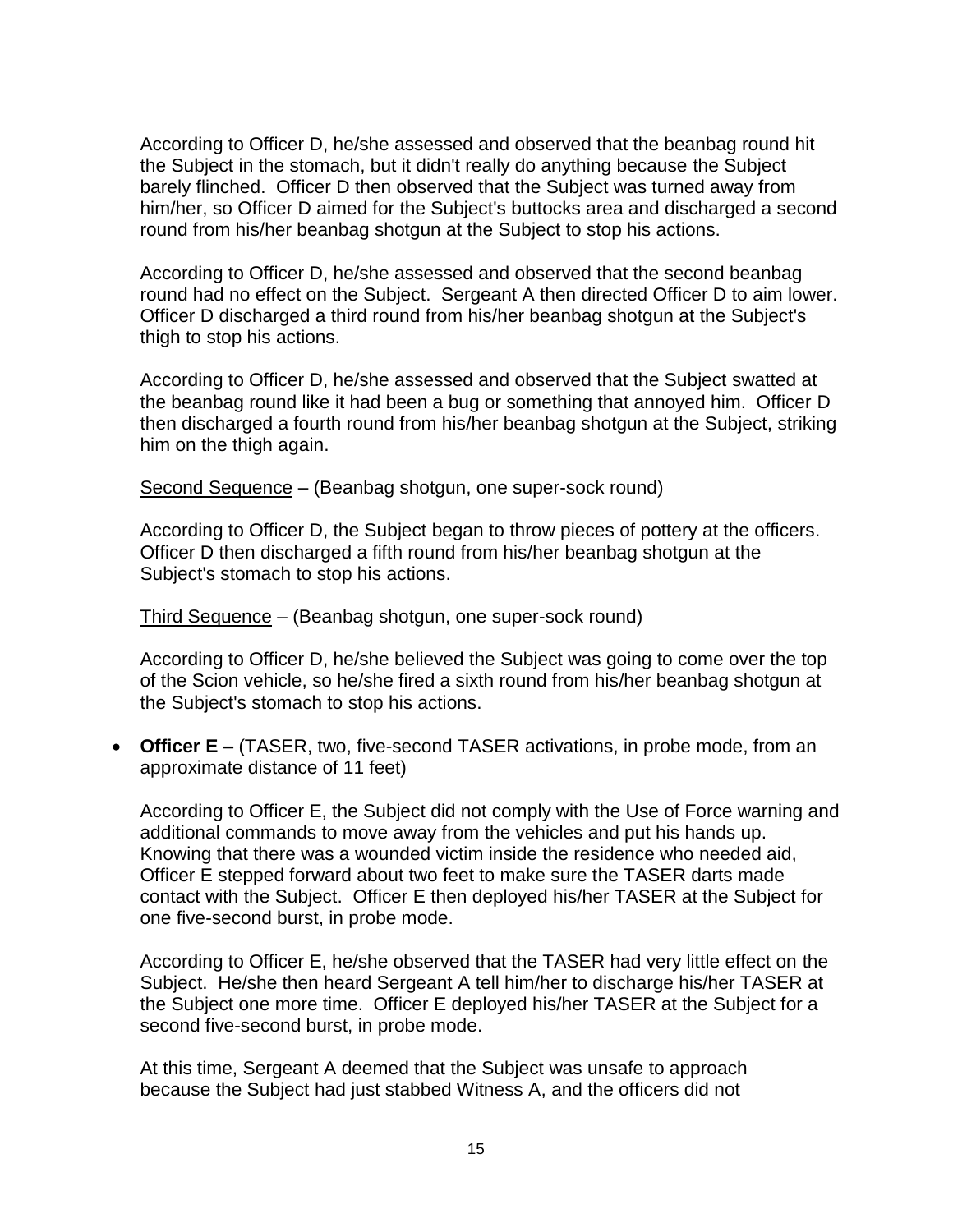According to Officer D, he/she assessed and observed that the beanbag round hit the Subject in the stomach, but it didn't really do anything because the Subject barely flinched. Officer D then observed that the Subject was turned away from him/her, so Officer D aimed for the Subject's buttocks area and discharged a second round from his/her beanbag shotgun at the Subject to stop his actions.

According to Officer D, he/she assessed and observed that the second beanbag round had no effect on the Subject. Sergeant A then directed Officer D to aim lower. Officer D discharged a third round from his/her beanbag shotgun at the Subject's thigh to stop his actions.

According to Officer D, he/she assessed and observed that the Subject swatted at the beanbag round like it had been a bug or something that annoyed him. Officer D then discharged a fourth round from his/her beanbag shotgun at the Subject, striking him on the thigh again.

Second Sequence – (Beanbag shotgun, one super-sock round)

According to Officer D, the Subject began to throw pieces of pottery at the officers. Officer D then discharged a fifth round from his/her beanbag shotgun at the Subject's stomach to stop his actions.

Third Sequence – (Beanbag shotgun, one super-sock round)

According to Officer D, he/she believed the Subject was going to come over the top of the Scion vehicle, so he/she fired a sixth round from his/her beanbag shotgun at the Subject's stomach to stop his actions.

• **Officer E –** (TASER, two, five-second TASER activations, in probe mode, from an approximate distance of 11 feet)

According to Officer E, the Subject did not comply with the Use of Force warning and additional commands to move away from the vehicles and put his hands up. Knowing that there was a wounded victim inside the residence who needed aid, Officer E stepped forward about two feet to make sure the TASER darts made contact with the Subject. Officer E then deployed his/her TASER at the Subject for one five-second burst, in probe mode.

According to Officer E, he/she observed that the TASER had very little effect on the Subject. He/she then heard Sergeant A tell him/her to discharge his/her TASER at the Subject one more time. Officer E deployed his/her TASER at the Subject for a second five-second burst, in probe mode.

At this time, Sergeant A deemed that the Subject was unsafe to approach because the Subject had just stabbed Witness A, and the officers did not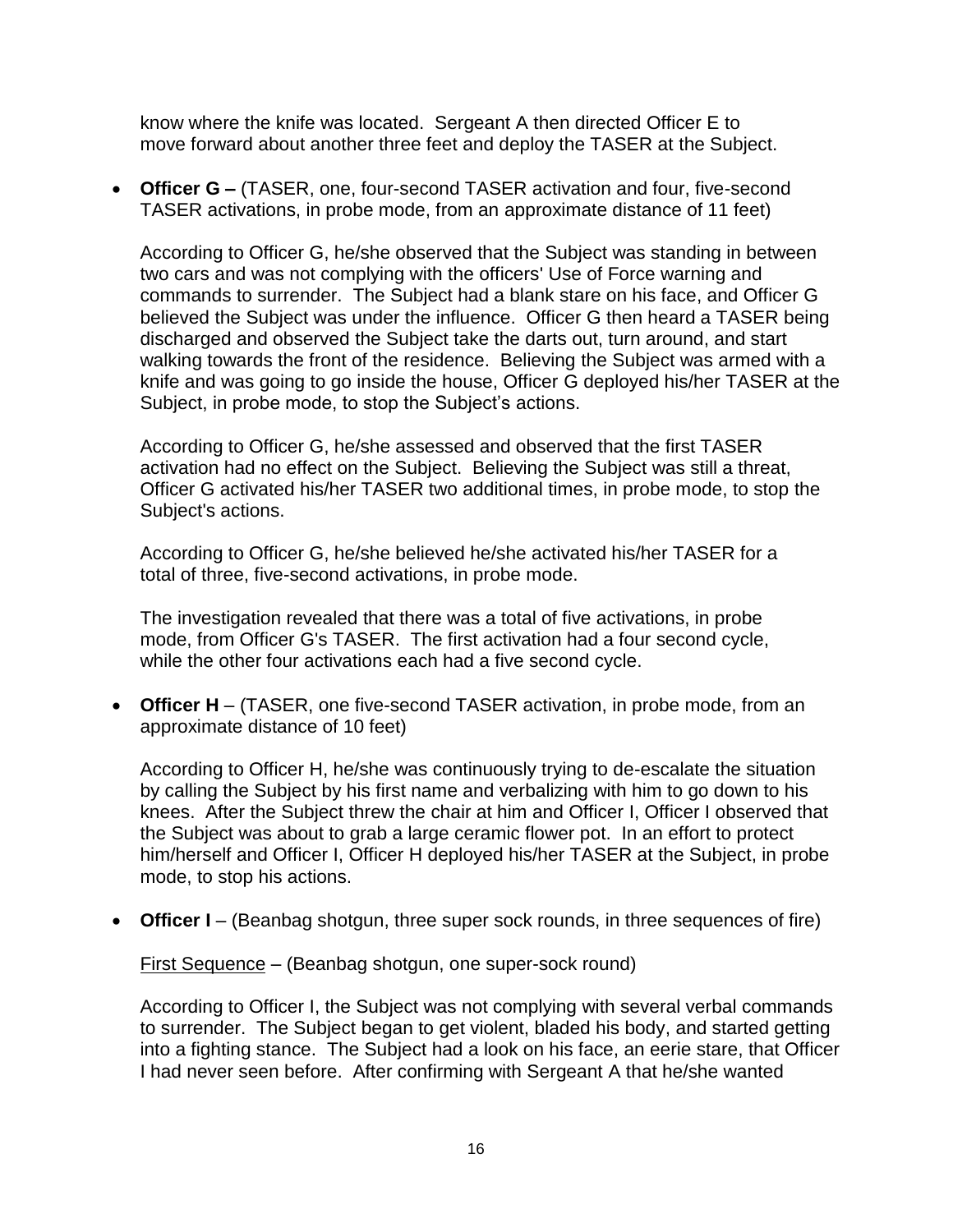know where the knife was located. Sergeant A then directed Officer E to move forward about another three feet and deploy the TASER at the Subject.

• **Officer G –** (TASER, one, four-second TASER activation and four, five-second TASER activations, in probe mode, from an approximate distance of 11 feet)

According to Officer G, he/she observed that the Subject was standing in between two cars and was not complying with the officers' Use of Force warning and commands to surrender. The Subject had a blank stare on his face, and Officer G believed the Subject was under the influence. Officer G then heard a TASER being discharged and observed the Subject take the darts out, turn around, and start walking towards the front of the residence. Believing the Subject was armed with a knife and was going to go inside the house, Officer G deployed his/her TASER at the Subject, in probe mode, to stop the Subject's actions.

According to Officer G, he/she assessed and observed that the first TASER activation had no effect on the Subject. Believing the Subject was still a threat, Officer G activated his/her TASER two additional times, in probe mode, to stop the Subject's actions.

According to Officer G, he/she believed he/she activated his/her TASER for a total of three, five-second activations, in probe mode.

The investigation revealed that there was a total of five activations, in probe mode, from Officer G's TASER. The first activation had a four second cycle, while the other four activations each had a five second cycle.

• **Officer H** – (TASER, one five-second TASER activation, in probe mode, from an approximate distance of 10 feet)

According to Officer H, he/she was continuously trying to de-escalate the situation by calling the Subject by his first name and verbalizing with him to go down to his knees. After the Subject threw the chair at him and Officer I, Officer I observed that the Subject was about to grab a large ceramic flower pot. In an effort to protect him/herself and Officer I, Officer H deployed his/her TASER at the Subject, in probe mode, to stop his actions.

• **Officer I** – (Beanbag shotgun, three super sock rounds, in three sequences of fire)

First Sequence – (Beanbag shotgun, one super-sock round)

According to Officer I, the Subject was not complying with several verbal commands to surrender. The Subject began to get violent, bladed his body, and started getting into a fighting stance. The Subject had a look on his face, an eerie stare, that Officer I had never seen before. After confirming with Sergeant A that he/she wanted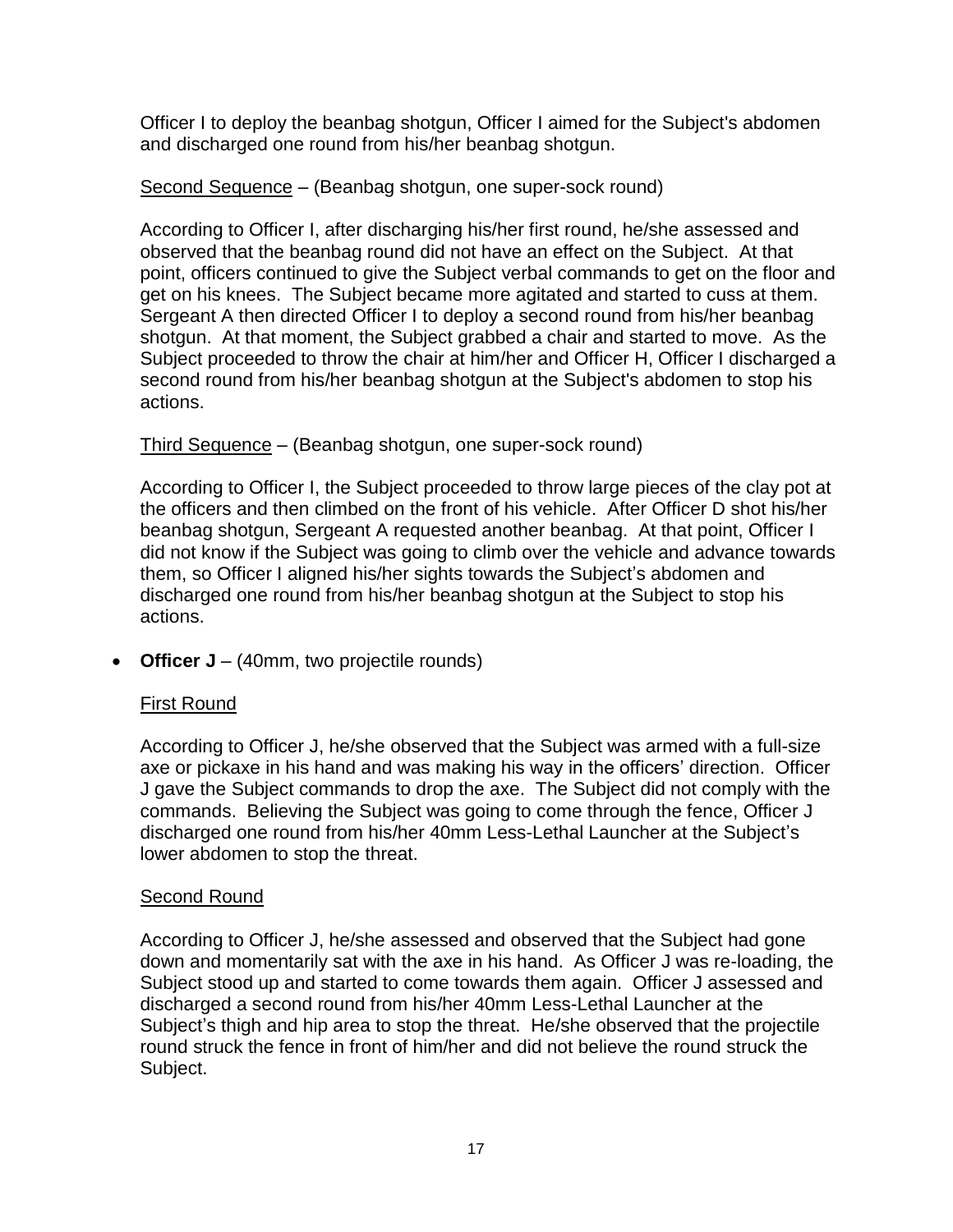Officer I to deploy the beanbag shotgun, Officer I aimed for the Subject's abdomen and discharged one round from his/her beanbag shotgun.

## Second Sequence – (Beanbag shotgun, one super-sock round)

According to Officer I, after discharging his/her first round, he/she assessed and observed that the beanbag round did not have an effect on the Subject. At that point, officers continued to give the Subject verbal commands to get on the floor and get on his knees. The Subject became more agitated and started to cuss at them. Sergeant A then directed Officer I to deploy a second round from his/her beanbag shotgun. At that moment, the Subject grabbed a chair and started to move. As the Subject proceeded to throw the chair at him/her and Officer H, Officer I discharged a second round from his/her beanbag shotgun at the Subject's abdomen to stop his actions.

## Third Sequence – (Beanbag shotgun, one super-sock round)

According to Officer I, the Subject proceeded to throw large pieces of the clay pot at the officers and then climbed on the front of his vehicle. After Officer D shot his/her beanbag shotgun, Sergeant A requested another beanbag. At that point, Officer I did not know if the Subject was going to climb over the vehicle and advance towards them, so Officer I aligned his/her sights towards the Subject's abdomen and discharged one round from his/her beanbag shotgun at the Subject to stop his actions.

• **Officer J** – (40mm, two projectile rounds)

# First Round

According to Officer J, he/she observed that the Subject was armed with a full-size axe or pickaxe in his hand and was making his way in the officers' direction. Officer J gave the Subject commands to drop the axe. The Subject did not comply with the commands. Believing the Subject was going to come through the fence, Officer J discharged one round from his/her 40mm Less-Lethal Launcher at the Subject's lower abdomen to stop the threat.

## Second Round

According to Officer J, he/she assessed and observed that the Subject had gone down and momentarily sat with the axe in his hand. As Officer J was re-loading, the Subject stood up and started to come towards them again. Officer J assessed and discharged a second round from his/her 40mm Less-Lethal Launcher at the Subject's thigh and hip area to stop the threat. He/she observed that the projectile round struck the fence in front of him/her and did not believe the round struck the Subject.